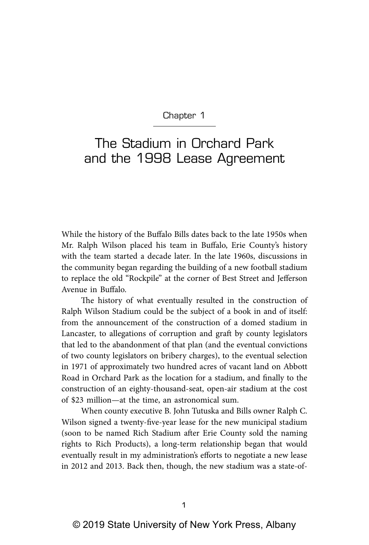Chapter 1

## The Stadium in Orchard Park and the 1998 Lease Agreement

While the history of the Buffalo Bills dates back to the late 1950s when Mr. Ralph Wilson placed his team in Buffalo, Erie County's history with the team started a decade later. In the late 1960s, discussions in the community began regarding the building of a new football stadium to replace the old "Rockpile" at the corner of Best Street and Jefferson Avenue in Buffalo.

The history of what eventually resulted in the construction of Ralph Wilson Stadium could be the subject of a book in and of itself: from the announcement of the construction of a domed stadium in Lancaster, to allegations of corruption and graft by county legislators that led to the abandonment of that plan (and the eventual convictions of two county legislators on bribery charges), to the eventual selection in 1971 of approximately two hundred acres of vacant land on Abbott Road in Orchard Park as the location for a stadium, and finally to the construction of an eighty-thousand-seat, open-air stadium at the cost of \$23 million—at the time, an astronomical sum.

When county executive B. John Tutuska and Bills owner Ralph C. Wilson signed a twenty-five-year lease for the new municipal stadium (soon to be named Rich Stadium after Erie County sold the naming rights to Rich Products), a long-term relationship began that would eventually result in my administration's efforts to negotiate a new lease in 2012 and 2013. Back then, though, the new stadium was a state-of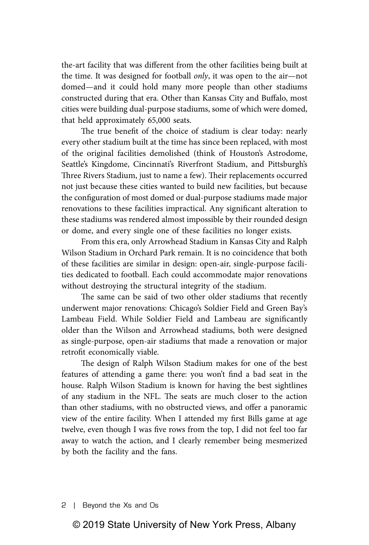the-art facility that was different from the other facilities being built at the time. It was designed for football *only*, it was open to the air—not domed—and it could hold many more people than other stadiums constructed during that era. Other than Kansas City and Buffalo, most cities were building dual-purpose stadiums, some of which were domed, that held approximately 65,000 seats.

The true benefit of the choice of stadium is clear today: nearly every other stadium built at the time has since been replaced, with most of the original facilities demolished (think of Houston's Astrodome, Seattle's Kingdome, Cincinnati's Riverfront Stadium, and Pittsburgh's Three Rivers Stadium, just to name a few). Their replacements occurred not just because these cities wanted to build new facilities, but because the configuration of most domed or dual-purpose stadiums made major renovations to these facilities impractical. Any significant alteration to these stadiums was rendered almost impossible by their rounded design or dome, and every single one of these facilities no longer exists.

From this era, only Arrowhead Stadium in Kansas City and Ralph Wilson Stadium in Orchard Park remain. It is no coincidence that both of these facilities are similar in design: open-air, single-purpose facilities dedicated to football. Each could accommodate major renovations without destroying the structural integrity of the stadium.

The same can be said of two other older stadiums that recently underwent major renovations: Chicago's Soldier Field and Green Bay's Lambeau Field. While Soldier Field and Lambeau are significantly older than the Wilson and Arrowhead stadiums, both were designed as single-purpose, open-air stadiums that made a renovation or major retrofit economically viable.

The design of Ralph Wilson Stadium makes for one of the best features of attending a game there: you won't find a bad seat in the house. Ralph Wilson Stadium is known for having the best sightlines of any stadium in the NFL. The seats are much closer to the action than other stadiums, with no obstructed views, and offer a panoramic view of the entire facility. When I attended my first Bills game at age twelve, even though I was five rows from the top, I did not feel too far away to watch the action, and I clearly remember being mesmerized by both the facility and the fans.

2 | Beyond the Xs and Os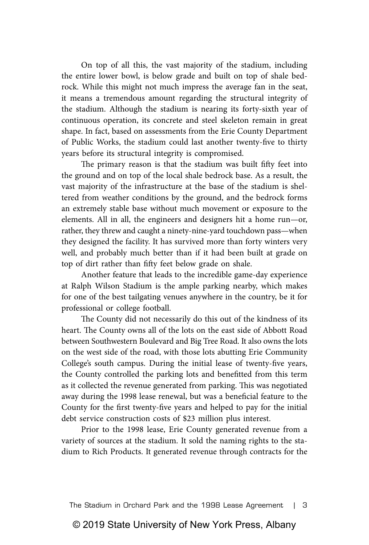On top of all this, the vast majority of the stadium, including the entire lower bowl, is below grade and built on top of shale bedrock. While this might not much impress the average fan in the seat, it means a tremendous amount regarding the structural integrity of the stadium. Although the stadium is nearing its forty-sixth year of continuous operation, its concrete and steel skeleton remain in great shape. In fact, based on assessments from the Erie County Department of Public Works, the stadium could last another twenty-five to thirty years before its structural integrity is compromised.

The primary reason is that the stadium was built fifty feet into the ground and on top of the local shale bedrock base. As a result, the vast majority of the infrastructure at the base of the stadium is sheltered from weather conditions by the ground, and the bedrock forms an extremely stable base without much movement or exposure to the elements. All in all, the engineers and designers hit a home run—or, rather, they threw and caught a ninety-nine-yard touchdown pass—when they designed the facility. It has survived more than forty winters very well, and probably much better than if it had been built at grade on top of dirt rather than fifty feet below grade on shale.

Another feature that leads to the incredible game-day experience at Ralph Wilson Stadium is the ample parking nearby, which makes for one of the best tailgating venues anywhere in the country, be it for professional or college football.

The County did not necessarily do this out of the kindness of its heart. The County owns all of the lots on the east side of Abbott Road between Southwestern Boulevard and Big Tree Road. It also owns the lots on the west side of the road, with those lots abutting Erie Community College's south campus. During the initial lease of twenty-five years, the County controlled the parking lots and benefitted from this term as it collected the revenue generated from parking. This was negotiated away during the 1998 lease renewal, but was a beneficial feature to the County for the first twenty-five years and helped to pay for the initial debt service construction costs of \$23 million plus interest.

Prior to the 1998 lease, Erie County generated revenue from a variety of sources at the stadium. It sold the naming rights to the stadium to Rich Products. It generated revenue through contracts for the

The Stadium in Orchard Park and the 1998 Lease Agreement | 3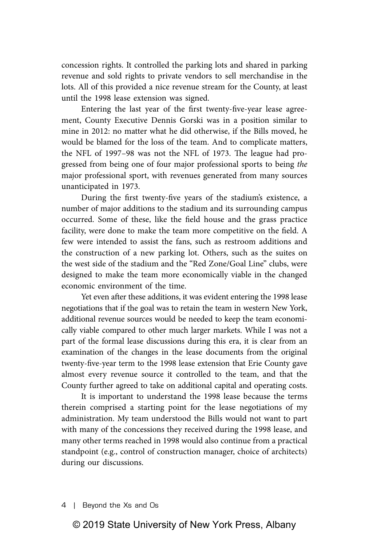concession rights. It controlled the parking lots and shared in parking revenue and sold rights to private vendors to sell merchandise in the lots. All of this provided a nice revenue stream for the County, at least until the 1998 lease extension was signed.

Entering the last year of the first twenty-five-year lease agreement, County Executive Dennis Gorski was in a position similar to mine in 2012: no matter what he did otherwise, if the Bills moved, he would be blamed for the loss of the team. And to complicate matters, the NFL of 1997–98 was not the NFL of 1973. The league had progressed from being one of four major professional sports to being *the* major professional sport, with revenues generated from many sources unanticipated in 1973.

During the first twenty-five years of the stadium's existence, a number of major additions to the stadium and its surrounding campus occurred. Some of these, like the field house and the grass practice facility, were done to make the team more competitive on the field. A few were intended to assist the fans, such as restroom additions and the construction of a new parking lot. Others, such as the suites on the west side of the stadium and the "Red Zone/Goal Line" clubs, were designed to make the team more economically viable in the changed economic environment of the time.

Yet even after these additions, it was evident entering the 1998 lease negotiations that if the goal was to retain the team in western New York, additional revenue sources would be needed to keep the team economically viable compared to other much larger markets. While I was not a part of the formal lease discussions during this era, it is clear from an examination of the changes in the lease documents from the original twenty-five-year term to the 1998 lease extension that Erie County gave almost every revenue source it controlled to the team, and that the County further agreed to take on additional capital and operating costs.

It is important to understand the 1998 lease because the terms therein comprised a starting point for the lease negotiations of my administration. My team understood the Bills would not want to part with many of the concessions they received during the 1998 lease, and many other terms reached in 1998 would also continue from a practical standpoint (e.g., control of construction manager, choice of architects) during our discussions.

## © 2019 State University of New York Press, Albany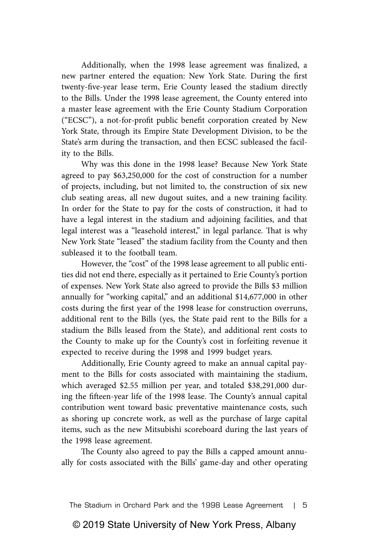Additionally, when the 1998 lease agreement was finalized, a new partner entered the equation: New York State. During the first twenty-five-year lease term, Erie County leased the stadium directly to the Bills. Under the 1998 lease agreement, the County entered into a master lease agreement with the Erie County Stadium Corporation ("ECSC"), a not-for-profit public benefit corporation created by New York State, through its Empire State Development Division, to be the State's arm during the transaction, and then ECSC subleased the facility to the Bills.

Why was this done in the 1998 lease? Because New York State agreed to pay \$63,250,000 for the cost of construction for a number of projects, including, but not limited to, the construction of six new club seating areas, all new dugout suites, and a new training facility. In order for the State to pay for the costs of construction, it had to have a legal interest in the stadium and adjoining facilities, and that legal interest was a "leasehold interest," in legal parlance. That is why New York State "leased" the stadium facility from the County and then subleased it to the football team.

However, the "cost" of the 1998 lease agreement to all public entities did not end there, especially as it pertained to Erie County's portion of expenses. New York State also agreed to provide the Bills \$3 million annually for "working capital," and an additional \$14,677,000 in other costs during the first year of the 1998 lease for construction overruns, additional rent to the Bills (yes, the State paid rent to the Bills for a stadium the Bills leased from the State), and additional rent costs to the County to make up for the County's cost in forfeiting revenue it expected to receive during the 1998 and 1999 budget years.

Additionally, Erie County agreed to make an annual capital payment to the Bills for costs associated with maintaining the stadium, which averaged \$2.55 million per year, and totaled \$38,291,000 during the fifteen-year life of the 1998 lease. The County's annual capital contribution went toward basic preventative maintenance costs, such as shoring up concrete work, as well as the purchase of large capital items, such as the new Mitsubishi scoreboard during the last years of the 1998 lease agreement.

The County also agreed to pay the Bills a capped amount annually for costs associated with the Bills' game-day and other operating

The Stadium in Orchard Park and the 1998 Lease Agreement | 5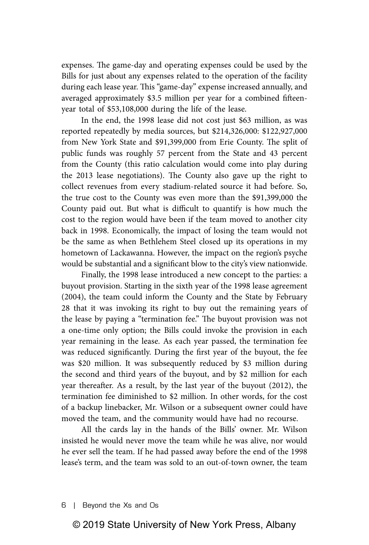expenses. The game-day and operating expenses could be used by the Bills for just about any expenses related to the operation of the facility during each lease year. This "game-day" expense increased annually, and averaged approximately \$3.5 million per year for a combined fifteenyear total of \$53,108,000 during the life of the lease.

In the end, the 1998 lease did not cost just \$63 million, as was reported repeatedly by media sources, but \$214,326,000: \$122,927,000 from New York State and \$91,399,000 from Erie County. The split of public funds was roughly 57 percent from the State and 43 percent from the County (this ratio calculation would come into play during the 2013 lease negotiations). The County also gave up the right to collect revenues from every stadium-related source it had before. So, the true cost to the County was even more than the \$91,399,000 the County paid out. But what is difficult to quantify is how much the cost to the region would have been if the team moved to another city back in 1998. Economically, the impact of losing the team would not be the same as when Bethlehem Steel closed up its operations in my hometown of Lackawanna. However, the impact on the region's psyche would be substantial and a significant blow to the city's view nationwide.

Finally, the 1998 lease introduced a new concept to the parties: a buyout provision. Starting in the sixth year of the 1998 lease agreement (2004), the team could inform the County and the State by February 28 that it was invoking its right to buy out the remaining years of the lease by paying a "termination fee." The buyout provision was not a one-time only option; the Bills could invoke the provision in each year remaining in the lease. As each year passed, the termination fee was reduced significantly. During the first year of the buyout, the fee was \$20 million. It was subsequently reduced by \$3 million during the second and third years of the buyout, and by \$2 million for each year thereafter. As a result, by the last year of the buyout (2012), the termination fee diminished to \$2 million. In other words, for the cost of a backup linebacker, Mr. Wilson or a subsequent owner could have moved the team, and the community would have had no recourse.

All the cards lay in the hands of the Bills' owner. Mr. Wilson insisted he would never move the team while he was alive, nor would he ever sell the team. If he had passed away before the end of the 1998 lease's term, and the team was sold to an out-of-town owner, the team

6 | Beyond the Xs and Os

## © 2019 State University of New York Press, Albany